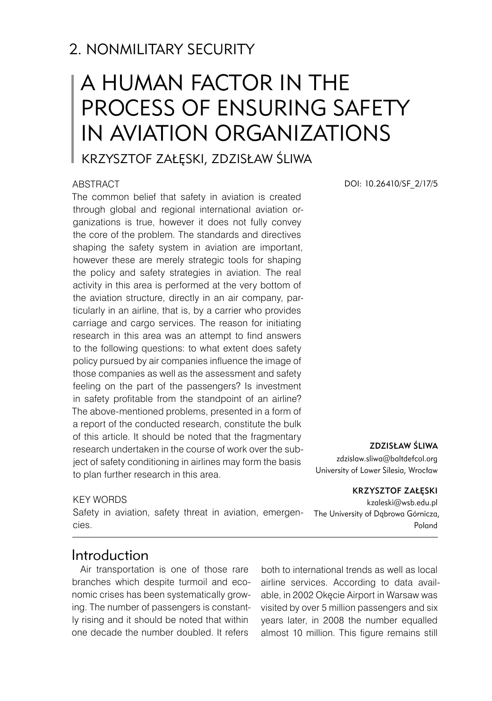# A human factor in the process of ensuring safety in aviation organizations

# Krzysztof Załęski, Zdzisław Śliwa

#### **ABSTRACT**

The common belief that safety in aviation is created through global and regional international aviation organizations is true, however it does not fully convey the core of the problem. The standards and directives shaping the safety system in aviation are important, however these are merely strategic tools for shaping the policy and safety strategies in aviation. The real activity in this area is performed at the very bottom of the aviation structure, directly in an air company, particularly in an airline, that is, by a carrier who provides carriage and cargo services. The reason for initiating research in this area was an attempt to find answers to the following questions: to what extent does safety policy pursued by air companies influence the image of those companies as well as the assessment and safety feeling on the part of the passengers? Is investment in safety profitable from the standpoint of an airline? The above-mentioned problems, presented in a form of a report of the conducted research, constitute the bulk of this article. It should be noted that the fragmentary research undertaken in the course of work over the subject of safety conditioning in airlines may form the basis to plan further research in this area.

#### KEY WORDS

Safety in aviation, safety threat in aviation, emergencies.

DOI: 10.26410/SF\_2/17/5

#### ZDZISŁAW ŚLIWA

zdzislaw.sliwa@baltdefcol.org University of Lower Silesia, Wrocław

#### Krzysztof Załęski

kzaleski@wsb.edu.pl The University of Dąbrowa Górnicza, Poland

#### Introduction

Air transportation is one of those rare branches which despite turmoil and economic crises has been systematically growing. The number of passengers is constantly rising and it should be noted that within one decade the number doubled. It refers

both to international trends as well as local airline services. According to data available, in 2002 Okęcie Airport in Warsaw was visited by over 5 million passengers and six years later, in 2008 the number equalled almost 10 million. This figure remains still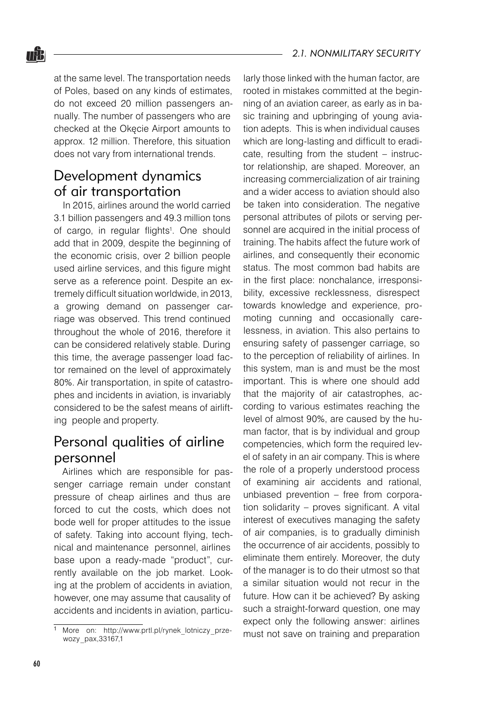at the same level. The transportation needs of Poles, based on any kinds of estimates, do not exceed 20 million passengers annually. The number of passengers who are checked at the Okęcie Airport amounts to approx. 12 million. Therefore, this situation does not vary from international trends.

### Development dynamics of air transportation

nŜ.

In 2015, airlines around the world carried 3.1 billion passengers and 49.3 million tons of cargo, in regular flights<sup>1</sup>. One should add that in 2009, despite the beginning of the economic crisis, over 2 billion people used airline services, and this figure might serve as a reference point. Despite an extremely difficult situation worldwide, in 2013, a growing demand on passenger carriage was observed. This trend continued throughout the whole of 2016, therefore it can be considered relatively stable. During this time, the average passenger load factor remained on the level of approximately 80%. Air transportation, in spite of catastrophes and incidents in aviation, is invariably considered to be the safest means of airlifting people and property.

# Personal qualities of airline personnel

Airlines which are responsible for passenger carriage remain under constant pressure of cheap airlines and thus are forced to cut the costs, which does not bode well for proper attitudes to the issue of safety. Taking into account flying, technical and maintenance personnel, airlines base upon a ready-made "product", currently available on the job market. Looking at the problem of accidents in aviation, however, one may assume that causality of accidents and incidents in aviation, particularly those linked with the human factor, are rooted in mistakes committed at the beginning of an aviation career, as early as in basic training and upbringing of young aviation adepts. This is when individual causes which are long-lasting and difficult to eradicate, resulting from the student – instructor relationship, are shaped. Moreover, an increasing commercialization of air training and a wider access to aviation should also be taken into consideration. The negative personal attributes of pilots or serving personnel are acquired in the initial process of training. The habits affect the future work of airlines, and consequently their economic status. The most common bad habits are in the first place: nonchalance, irresponsibility, excessive recklessness, disrespect towards knowledge and experience, promoting cunning and occasionally carelessness, in aviation. This also pertains to ensuring safety of passenger carriage, so to the perception of reliability of airlines. In this system, man is and must be the most important. This is where one should add that the majority of air catastrophes, according to various estimates reaching the level of almost 90%, are caused by the human factor, that is by individual and group competencies, which form the required level of safety in an air company. This is where the role of a properly understood process of examining air accidents and rational, unbiased prevention – free from corporation solidarity – proves significant. A vital interest of executives managing the safety of air companies, is to gradually diminish the occurrence of air accidents, possibly to eliminate them entirely. Moreover, the duty of the manager is to do their utmost so that a similar situation would not recur in the future. How can it be achieved? By asking such a straight-forward question, one may expect only the following answer: airlines must not save on training and preparation

More on: http://www.prtl.pl/rynek\_lotniczy\_przewozy\_pax,33167,1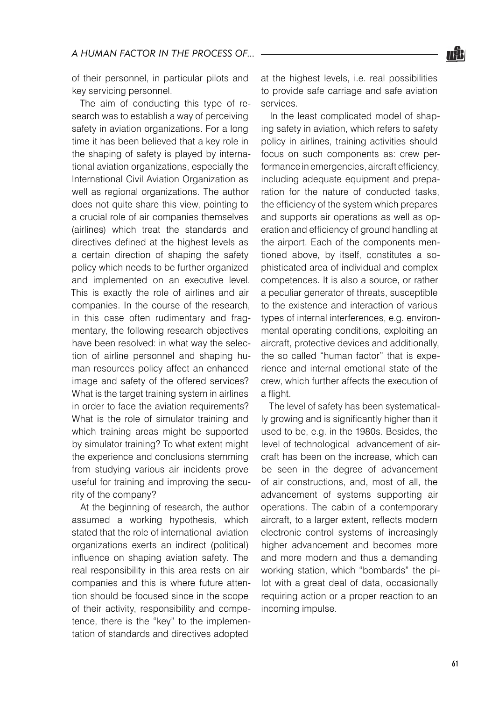

of their personnel, in particular pilots and key servicing personnel.

The aim of conducting this type of research was to establish a way of perceiving safety in aviation organizations. For a long time it has been believed that a key role in the shaping of safety is played by international aviation organizations, especially the International Civil Aviation Organization as well as regional organizations. The author does not quite share this view, pointing to a crucial role of air companies themselves (airlines) which treat the standards and directives defined at the highest levels as a certain direction of shaping the safety policy which needs to be further organized and implemented on an executive level. This is exactly the role of airlines and air companies. In the course of the research, in this case often rudimentary and fragmentary, the following research objectives have been resolved: in what way the selection of airline personnel and shaping human resources policy affect an enhanced image and safety of the offered services? What is the target training system in airlines in order to face the aviation requirements? What is the role of simulator training and which training areas might be supported by simulator training? To what extent might the experience and conclusions stemming from studying various air incidents prove useful for training and improving the security of the company?

At the beginning of research, the author assumed a working hypothesis, which stated that the role of international aviation organizations exerts an indirect (political) influence on shaping aviation safety. The real responsibility in this area rests on air companies and this is where future attention should be focused since in the scope of their activity, responsibility and competence, there is the "key" to the implementation of standards and directives adopted

at the highest levels, i.e. real possibilities to provide safe carriage and safe aviation services.

In the least complicated model of shaping safety in aviation, which refers to safety policy in airlines, training activities should focus on such components as: crew performance in emergencies, aircraft efficiency, including adequate equipment and preparation for the nature of conducted tasks, the efficiency of the system which prepares and supports air operations as well as operation and efficiency of ground handling at the airport. Each of the components mentioned above, by itself, constitutes a sophisticated area of individual and complex competences. It is also a source, or rather a peculiar generator of threats, susceptible to the existence and interaction of various types of internal interferences, e.g. environmental operating conditions, exploiting an aircraft, protective devices and additionally, the so called "human factor" that is experience and internal emotional state of the crew, which further affects the execution of a flight.

The level of safety has been systematically growing and is significantly higher than it used to be, e.g. in the 1980s. Besides, the level of technological advancement of aircraft has been on the increase, which can be seen in the degree of advancement of air constructions, and, most of all, the advancement of systems supporting air operations. The cabin of a contemporary aircraft, to a larger extent, reflects modern electronic control systems of increasingly higher advancement and becomes more and more modern and thus a demanding working station, which "bombards" the pilot with a great deal of data, occasionally requiring action or a proper reaction to an incoming impulse.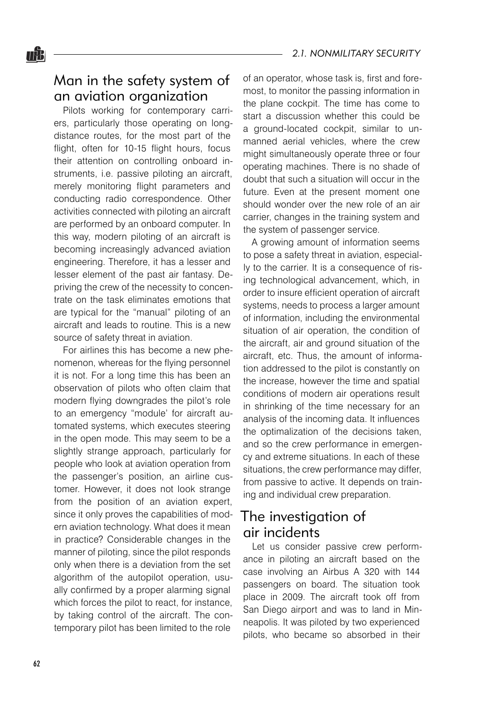#### Man in the safety system of an aviation organization

Pilots working for contemporary carriers, particularly those operating on longdistance routes, for the most part of the flight, often for 10-15 flight hours, focus their attention on controlling onboard instruments, i.e. passive piloting an aircraft, merely monitoring flight parameters and conducting radio correspondence. Other activities connected with piloting an aircraft are performed by an onboard computer. In this way, modern piloting of an aircraft is becoming increasingly advanced aviation engineering. Therefore, it has a lesser and lesser element of the past air fantasy. Depriving the crew of the necessity to concentrate on the task eliminates emotions that are typical for the "manual" piloting of an aircraft and leads to routine. This is a new source of safety threat in aviation.

For airlines this has become a new phenomenon, whereas for the flying personnel it is not. For a long time this has been an observation of pilots who often claim that modern flying downgrades the pilot's role to an emergency "module' for aircraft automated systems, which executes steering in the open mode. This may seem to be a slightly strange approach, particularly for people who look at aviation operation from the passenger's position, an airline customer. However, it does not look strange from the position of an aviation expert, since it only proves the capabilities of modern aviation technology. What does it mean in practice? Considerable changes in the manner of piloting, since the pilot responds only when there is a deviation from the set algorithm of the autopilot operation, usually confirmed by a proper alarming signal which forces the pilot to react, for instance, by taking control of the aircraft. The contemporary pilot has been limited to the role

of an operator, whose task is, first and foremost, to monitor the passing information in the plane cockpit. The time has come to start a discussion whether this could be a ground-located cockpit, similar to unmanned aerial vehicles, where the crew might simultaneously operate three or four operating machines. There is no shade of doubt that such a situation will occur in the future. Even at the present moment one should wonder over the new role of an air carrier, changes in the training system and the system of passenger service.

A growing amount of information seems to pose a safety threat in aviation, especially to the carrier. It is a consequence of rising technological advancement, which, in order to insure efficient operation of aircraft systems, needs to process a larger amount of information, including the environmental situation of air operation, the condition of the aircraft, air and ground situation of the aircraft, etc. Thus, the amount of information addressed to the pilot is constantly on the increase, however the time and spatial conditions of modern air operations result in shrinking of the time necessary for an analysis of the incoming data. It influences the optimalization of the decisions taken, and so the crew performance in emergency and extreme situations. In each of these situations, the crew performance may differ, from passive to active. It depends on training and individual crew preparation.

# The investigation of air incidents

Let us consider passive crew performance in piloting an aircraft based on the case involving an Airbus A 320 with 144 passengers on board. The situation took place in 2009. The aircraft took off from San Diego airport and was to land in Minneapolis. It was piloted by two experienced pilots, who became so absorbed in their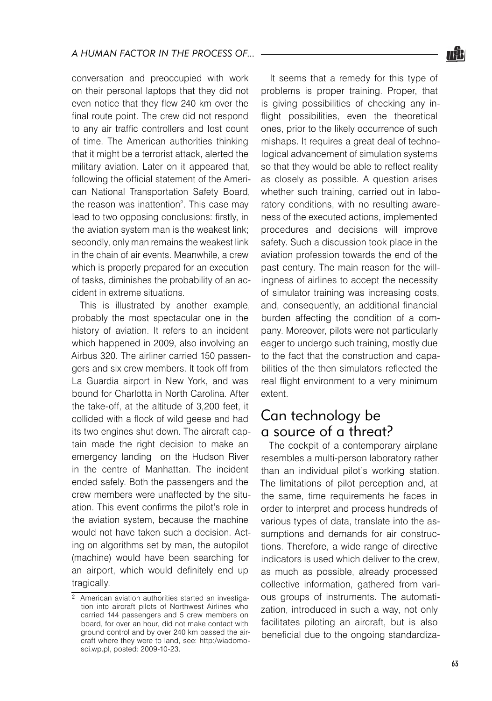conversation and preoccupied with work on their personal laptops that they did not even notice that they flew 240 km over the final route point. The crew did not respond to any air traffic controllers and lost count of time. The American authorities thinking that it might be a terrorist attack, alerted the military aviation. Later on it appeared that, following the official statement of the American National Transportation Safety Board, the reason was inattention<sup>2</sup>. This case may lead to two opposing conclusions: firstly, in the aviation system man is the weakest link; secondly, only man remains the weakest link in the chain of air events. Meanwhile, a crew which is properly prepared for an execution of tasks, diminishes the probability of an accident in extreme situations.

This is illustrated by another example, probably the most spectacular one in the history of aviation. It refers to an incident which happened in 2009, also involving an Airbus 320. The airliner carried 150 passengers and six crew members. It took off from La Guardia airport in New York, and was bound for Charlotta in North Carolina. After the take-off, at the altitude of 3,200 feet, it collided with a flock of wild geese and had its two engines shut down. The aircraft captain made the right decision to make an emergency landing on the Hudson River in the centre of Manhattan. The incident ended safely. Both the passengers and the crew members were unaffected by the situation. This event confirms the pilot's role in the aviation system, because the machine would not have taken such a decision. Acting on algorithms set by man, the autopilot (machine) would have been searching for an airport, which would definitely end up tragically.

It seems that a remedy for this type of problems is proper training. Proper, that is giving possibilities of checking any inflight possibilities, even the theoretical ones, prior to the likely occurrence of such mishaps. It requires a great deal of technological advancement of simulation systems so that they would be able to reflect reality as closely as possible. A question arises whether such training, carried out in laboratory conditions, with no resulting awareness of the executed actions, implemented procedures and decisions will improve safety. Such a discussion took place in the aviation profession towards the end of the past century. The main reason for the willingness of airlines to accept the necessity of simulator training was increasing costs, and, consequently, an additional financial burden affecting the condition of a company. Moreover, pilots were not particularly eager to undergo such training, mostly due to the fact that the construction and capabilities of the then simulators reflected the real flight environment to a very minimum extent.

### Can technology be a source of a threat?

The cockpit of a contemporary airplane resembles a multi-person laboratory rather than an individual pilot's working station. The limitations of pilot perception and, at the same, time requirements he faces in order to interpret and process hundreds of various types of data, translate into the assumptions and demands for air constructions. Therefore, a wide range of directive indicators is used which deliver to the crew, as much as possible, already processed collective information, gathered from various groups of instruments. The automatization, introduced in such a way, not only facilitates piloting an aircraft, but is also beneficial due to the ongoing standardiza-



<sup>&</sup>lt;sup>2</sup> American aviation authorities started an investigation into aircraft pilots of Northwest Airlines who carried 144 passengers and 5 crew members on board, for over an hour, did not make contact with ground control and by over 240 km passed the aircraft where they were to land, see: http:/wiadomosci.wp.pl, posted: 2009-10-23.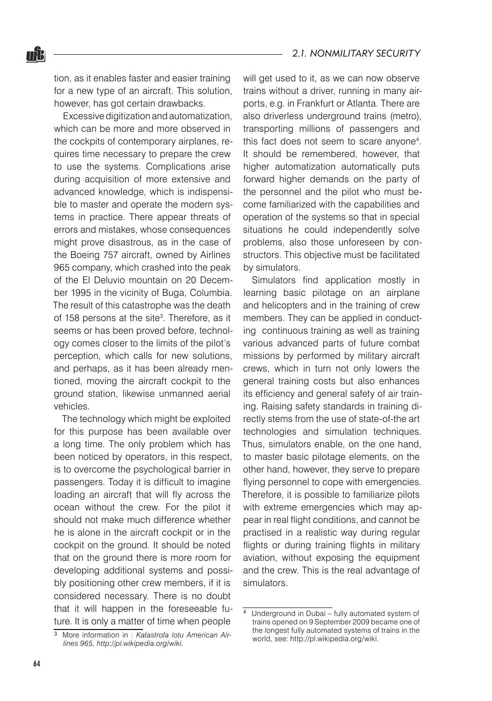tion, as it enables faster and easier training for a new type of an aircraft. This solution, however, has got certain drawbacks.

nŜ.

Excessive digitization and automatization, which can be more and more observed in the cockpits of contemporary airplanes, requires time necessary to prepare the crew to use the systems. Complications arise during acquisition of more extensive and advanced knowledge, which is indispensible to master and operate the modern systems in practice. There appear threats of errors and mistakes, whose consequences might prove disastrous, as in the case of the Boeing 757 aircraft, owned by Airlines 965 company, which crashed into the peak of the El Deluvio mountain on 20 December 1995 in the vicinity of Buga, Columbia. The result of this catastrophe was the death of 158 persons at the site<sup>3</sup>. Therefore, as it seems or has been proved before, technology comes closer to the limits of the pilot's perception, which calls for new solutions, and perhaps, as it has been already mentioned, moving the aircraft cockpit to the ground station, likewise unmanned aerial vehicles.

The technology which might be exploited for this purpose has been available over a long time. The only problem which has been noticed by operators, in this respect, is to overcome the psychological barrier in passengers. Today it is difficult to imagine loading an aircraft that will fly across the ocean without the crew. For the pilot it should not make much difference whether he is alone in the aircraft cockpit or in the cockpit on the ground. It should be noted that on the ground there is more room for developing additional systems and possibly positioning other crew members, if it is considered necessary. There is no doubt that it will happen in the foreseeable future. It is only a matter of time when people

will get used to it, as we can now observe trains without a driver, running in many airports, e.g. in Frankfurt or Atlanta. There are also driverless underground trains (metro), transporting millions of passengers and this fact does not seem to scare anyone4 . It should be remembered, however, that higher automatization automatically puts forward higher demands on the party of the personnel and the pilot who must become familiarized with the capabilities and operation of the systems so that in special situations he could independently solve problems, also those unforeseen by constructors. This objective must be facilitated by simulators.

Simulators find application mostly in learning basic pilotage on an airplane and helicopters and in the training of crew members. They can be applied in conducting continuous training as well as training various advanced parts of future combat missions by performed by military aircraft crews, which in turn not only lowers the general training costs but also enhances its efficiency and general safety of air training. Raising safety standards in training directly stems from the use of state-of-the art technologies and simulation techniques. Thus, simulators enable, on the one hand, to master basic pilotage elements, on the other hand, however, they serve to prepare flying personnel to cope with emergencies. Therefore, it is possible to familiarize pilots with extreme emergencies which may appear in real flight conditions, and cannot be practised in a realistic way during regular flights or during training flights in military aviation, without exposing the equipment and the crew. This is the real advantage of simulators.

More information in : *Katastrofa lotu American Airlines 965, http://pl.wikipedia.org/wiki.*

<sup>4</sup> Underground in Dubai – fully automated system of trains opened on 9 September 2009 became one of the longest fully automated systems of trains in the world, see: http://pl.wikipedia.org/wiki.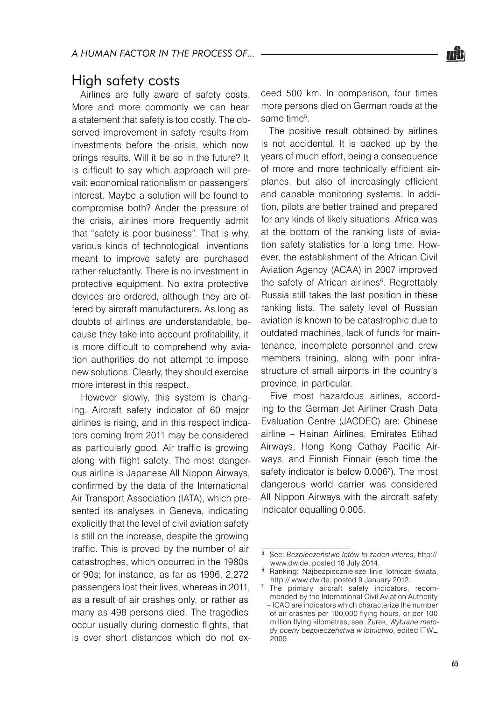### High safety costs

Airlines are fully aware of safety costs. More and more commonly we can hear a statement that safety is too costly. The observed improvement in safety results from investments before the crisis, which now brings results. Will it be so in the future? It is difficult to say which approach will prevail: economical rationalism or passengers' interest. Maybe a solution will be found to compromise both? Ander the pressure of the crisis, airlines more frequently admit that "safety is poor business". That is why, various kinds of technological inventions meant to improve safety are purchased rather reluctantly. There is no investment in protective equipment. No extra protective devices are ordered, although they are offered by aircraft manufacturers. As long as doubts of airlines are understandable, because they take into account profitability, it is more difficult to comprehend why aviation authorities do not attempt to impose new solutions. Clearly, they should exercise more interest in this respect.

However slowly, this system is changing. Aircraft safety indicator of 60 major airlines is rising, and in this respect indicators coming from 2011 may be considered as particularly good. Air traffic is growing along with flight safety. The most dangerous airline is Japanese All Nippon Airways, confirmed by the data of the International Air Transport Association (IATA), which presented its analyses in Geneva, indicating explicitly that the level of civil aviation safety is still on the increase, despite the growing traffic. This is proved by the number of air catastrophes, which occurred in the 1980s or 90s; for instance, as far as 1996, 2,272 passengers lost their lives, whereas in 2011, as a result of air crashes only, or rather as many as 498 persons died. The tragedies occur usually during domestic flights, that is over short distances which do not exceed 500 km. In comparison, four times more persons died on German roads at the same time<sup>5</sup>.

The positive result obtained by airlines is not accidental. It is backed up by the years of much effort, being a consequence of more and more technically efficient airplanes, but also of increasingly efficient and capable monitoring systems. In addition, pilots are better trained and prepared for any kinds of likely situations. Africa was at the bottom of the ranking lists of aviation safety statistics for a long time. However, the establishment of the African Civil Aviation Agency (ACAA) in 2007 improved the safety of African airlines<sup>6</sup>. Regrettably, Russia still takes the last position in these ranking lists. The safety level of Russian aviation is known to be catastrophic due to outdated machines, lack of funds for maintenance, incomplete personnel and crew members training, along with poor infrastructure of small airports in the country's province, in particular.

Five most hazardous airlines, according to the German Jet Airliner Crash Data Evaluation Centre (JACDEC) are: Chinese airline – Hainan Airlines, Emirates Etihad Airways, Hong Kong Cathay Pacific Airways, and Finnish Finnair (each time the safety indicator is below 0.006<sup>7</sup>). The most dangerous world carrier was considered All Nippon Airways with the aircraft safety indicator equalling 0.005.

See: *Bezpieczeństwo lotów to żaden interes*, http:// www.dw.de, posted 18 July 2014.

<sup>&</sup>lt;sup>6</sup> Ranking: Najbezpieczniejsze linie lotnicze świata, http:// www.dw.de, posted 9 January 2012.

 $7$  The primary aircraft safety indicators, recommended by the International Civil Aviation Authority – ICAO are indicators which characterize the number of air crashes per 100,000 flying hours, or per 100 million flying kilometres, see: Żurek, *Wybrane metody oceny bezpieczeństwa w lotnictwo*, edited ITWL, 2009.